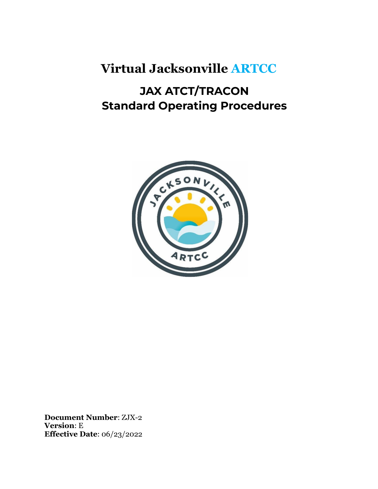**Virtual Jacksonville ARTCC**

## **JAX ATCT/TRACON Standard Operating Procedures**



**Document Number**: ZJX-2 **Version**: E **Effective Date**: 06/23/2022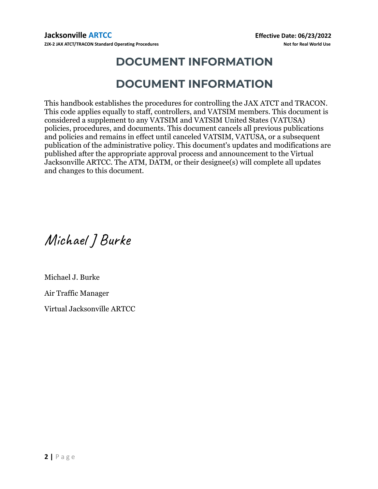# **DOCUMENT INFORMATION**

### **DOCUMENT INFORMATION**

<span id="page-1-0"></span>This handbook establishes the procedures for controlling the JAX ATCT and TRACON. This code applies equally to staff, controllers, and VATSIM members. This document is considered a supplement to any VATSIM and VATSIM United States (VATUSA) policies, procedures, and documents. This document cancels all previous publications and policies and remains in effect until canceled VATSIM, VATUSA, or a subsequent publication of the administrative policy. This document's updates and modifications are published after the appropriate approval process and announcement to the Virtual Jacksonville ARTCC. The ATM, DATM, or their designee(s) will complete all updates and changes to this document.

Michael JBurke

Michael J. Burke

Air Traffic Manager

Virtual Jacksonville ARTCC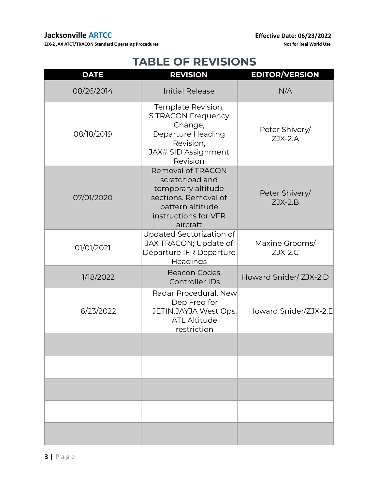<span id="page-2-0"></span>**ZJX-2 JAX ATCT/TRACON Standard Operating Procedures Not for Real World Use**

### **TABLE OF REVISIONS**

| <b>DATE</b> | <b>REVISION</b>                                                                                                                                  | <b>EDITOR/VERSION</b>       |
|-------------|--------------------------------------------------------------------------------------------------------------------------------------------------|-----------------------------|
| 08/26/2014  | <b>Initial Release</b>                                                                                                                           | N/A                         |
| 08/18/2019  | Template Revision,<br><b>STRACON Frequency</b><br>Change,<br>Departure Heading<br>Revision,<br>JAX# SID Assignment<br>Revision                   | Peter Shivery/<br>$ZJX-2.A$ |
| 07/01/2020  | <b>Removal of TRACON</b><br>scratchpad and<br>temporary altitude<br>sections. Removal of<br>pattern altitude<br>instructions for VFR<br>aircraft | Peter Shivery/<br>$ZJX-2.B$ |
| 01/01/2021  | Updated Sectorization of<br>JAX TRACON; Update of<br>Departure IFR Departure<br>Headings                                                         | Maxine Grooms/<br>$ZJX-2.C$ |
| 1/18/2022   | Beacon Codes,<br><b>Controller IDs</b>                                                                                                           | Howard Snider/ ZJX-2.D      |
| 6/23/2022   | Radar Procedural, New<br>Dep Freq for<br>JETIN.JAYJA West Ops,<br><b>ATL Altitude</b><br>restriction                                             | Howard Snider/ZJX-2.E       |
|             |                                                                                                                                                  |                             |
|             |                                                                                                                                                  |                             |
|             |                                                                                                                                                  |                             |
|             |                                                                                                                                                  |                             |
|             |                                                                                                                                                  |                             |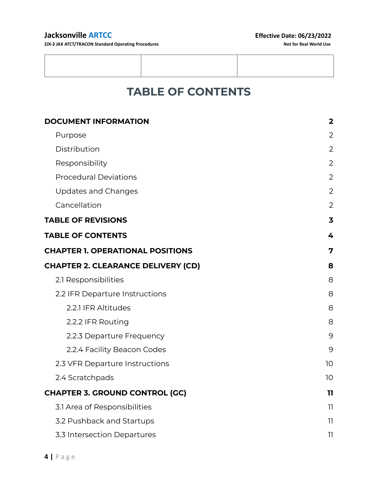**ZJX-2 JAX ATCT/TRACON Standard Operating Procedures Not for Real World Use**

### **TABLE OF CONTENTS**

<span id="page-3-0"></span>

| <b>DOCUMENT INFORMATION</b>               | $\mathbf{2}$   |
|-------------------------------------------|----------------|
| Purpose                                   | $\overline{2}$ |
| Distribution                              | $\overline{2}$ |
| Responsibility                            | $\overline{2}$ |
| <b>Procedural Deviations</b>              | $\overline{2}$ |
| <b>Updates and Changes</b>                | $\overline{2}$ |
| Cancellation                              | $\overline{2}$ |
| <b>TABLE OF REVISIONS</b>                 | 3              |
| <b>TABLE OF CONTENTS</b>                  | 4              |
| <b>CHAPTER 1. OPERATIONAL POSITIONS</b>   | 7              |
| <b>CHAPTER 2. CLEARANCE DELIVERY (CD)</b> | 8              |
| 2.1 Responsibilities                      | 8              |
| 2.2 IFR Departure Instructions            | 8              |
| 2.2.1 IFR Altitudes                       | 8              |
| 2.2.2 IFR Routing                         | 8              |
| 2.2.3 Departure Frequency                 | 9              |
| 2.2.4 Facility Beacon Codes               | 9              |
| 2.3 VFR Departure Instructions            | 10             |
| 2.4 Scratchpads                           | 10             |
| <b>CHAPTER 3. GROUND CONTROL (GC)</b>     | 11             |
| 3.1 Area of Responsibilities              | 11             |
| 3.2 Pushback and Startups                 | 11             |
| 3.3 Intersection Departures               | 11             |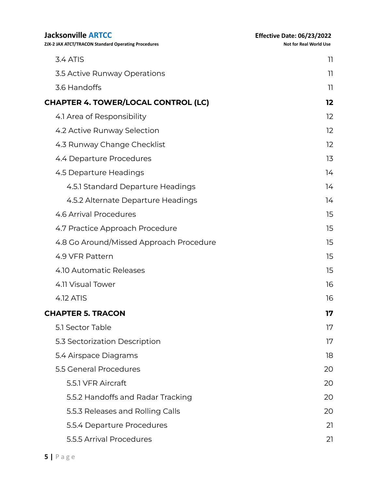# **ZJX-2 JAX ATCT/TRACON Standard Operating Procedures**

| 3.4 ATIS                                   | 11 |
|--------------------------------------------|----|
| 3.5 Active Runway Operations               | 11 |
| 3.6 Handoffs                               | 11 |
| <b>CHAPTER 4. TOWER/LOCAL CONTROL (LC)</b> | 12 |
| 4.1 Area of Responsibility                 | 12 |
| 4.2 Active Runway Selection                | 12 |
| 4.3 Runway Change Checklist                | 12 |
| 4.4 Departure Procedures                   | 13 |
| 4.5 Departure Headings                     | 14 |
| 4.5.1 Standard Departure Headings          | 14 |
| 4.5.2 Alternate Departure Headings         | 14 |
| 4.6 Arrival Procedures                     | 15 |
| 4.7 Practice Approach Procedure            | 15 |
| 4.8 Go Around/Missed Approach Procedure    | 15 |
| 4.9 VFR Pattern                            | 15 |
| 4.10 Automatic Releases                    | 15 |
| 4.11 Visual Tower                          | 16 |
| 4.12 ATIS                                  | 16 |
| <b>CHAPTER 5. TRACON</b>                   | 17 |
| 5.1 Sector Table                           | 17 |
| 5.3 Sectorization Description              | 17 |
| 5.4 Airspace Diagrams                      | 18 |
| 5.5 General Procedures                     | 20 |
| 5.5.1 VFR Aircraft                         | 20 |
| 5.5.2 Handoffs and Radar Tracking          | 20 |
| 5.5.3 Releases and Rolling Calls           | 20 |
| 5.5.4 Departure Procedures                 | 21 |
| 5.5.5 Arrival Procedures                   | 21 |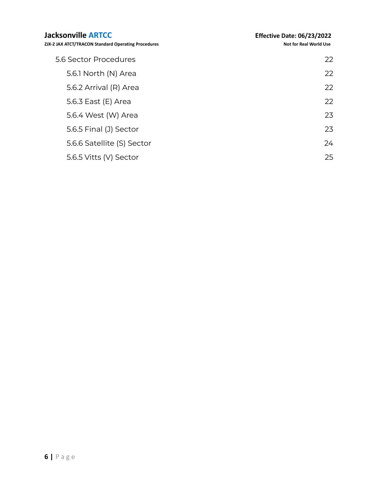#### **Jacksonville ARTCC Effective Date: 06/23/2022 ZJX-2 JAX ATCT/TRACON Standard Operating Procedures**

| <b>Not for Real World Use</b> |  |  |  |
|-------------------------------|--|--|--|
|-------------------------------|--|--|--|

| 5.6 Sector Procedures      | 22 |
|----------------------------|----|
| 5.6.1 North (N) Area       | 22 |
| 5.6.2 Arrival (R) Area     | 22 |
| 5.6.3 East (E) Area        | 22 |
| 5.6.4 West (W) Area        | 23 |
| 5.6.5 Final (J) Sector     | 23 |
| 5.6.6 Satellite (S) Sector | 24 |
| 5.6.5 Vitts (V) Sector     | 25 |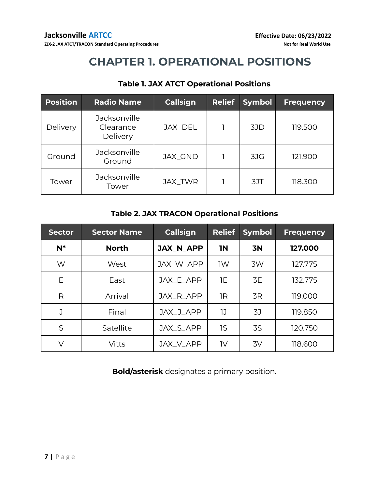### **CHAPTER 1. OPERATIONAL POSITIONS**

<span id="page-6-0"></span>

| <b>Position</b> | <b>Radio Name</b>                            | <b>Callsign</b> | <b>Relief</b> | <b>Symbol</b> | <b>Frequency</b> |
|-----------------|----------------------------------------------|-----------------|---------------|---------------|------------------|
| Delivery        | <b>Jacksonville</b><br>Clearance<br>Delivery | JAX_DEL         |               | 3JD           | 119.500          |
| Ground          | <b>Jacksonville</b><br>Ground                | JAX_GND         |               | 3JG           | 121.900          |
| Tower           | <b>Jacksonville</b><br>Tower                 | JAX_TWR         |               | 3JT           | 118.300          |

#### **Table 1. JAX ATCT Operational Positions**

#### **Table 2. JAX TRACON Operational Positions**

| <b>Sector</b> | <b>Sector Name</b> | <b>Callsign</b>  | <b>Relief</b> | <b>Symbol</b> | <b>Frequency</b> |
|---------------|--------------------|------------------|---------------|---------------|------------------|
| $N^*$         | <b>North</b>       | <b>JAX_N_APP</b> | <b>IN</b>     | <b>3N</b>     | 127.000          |
| W             | West               | JAX_W_APP        | <b>IW</b>     | 3W            | 127.775          |
| E             | East               | JAX E APP        | 1E            | 3E            | 132.775          |
| R             | Arrival            | JAX_R_APP        | 1R            | 3R            | 119.000          |
| J             | Final              | JAX_J_APP        | כו            | 3J            | 119.850          |
| S             | Satellite          | JAX_S_APP        | 1S            | 3S            | 120.750          |
| V             | Vitts              | JAX_V_APP        | 1V            | 3V            | 118.600          |

**Bold/asterisk** designates a primary position.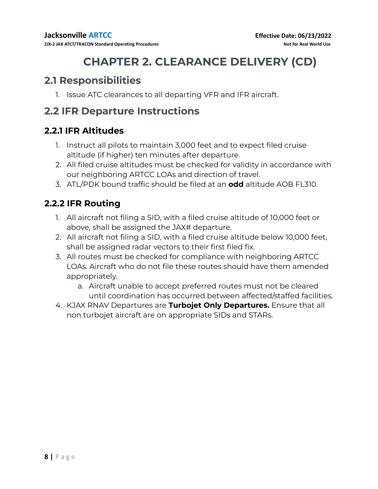### **CHAPTER 2. CLEARANCE DELIVERY (CD)**

### <span id="page-7-1"></span><span id="page-7-0"></span>**2.1 Responsibilities**

1. Issue ATC clearances to all departing VFR and IFR aircraft.

### <span id="page-7-2"></span>**2.2 IFR Departure Instructions**

### <span id="page-7-3"></span>**2.2.1 IFR Altitudes**

- 1. Instruct all pilots to maintain 3,000 feet and to expect filed cruise altitude (if higher) ten minutes after departure.
- 2. All filed cruise altitudes must be checked for validity in accordance with our neighboring ARTCC LOAs and direction of travel.
- 3. ATL/PDK bound traffic should be filed at an **odd** altitude AOB FL310.

### <span id="page-7-4"></span>**2.2.2 IFR Routing**

- 1. All aircraft not filing a SID, with a filed cruise altitude of 10,000 feet or above, shall be assigned the JAX# departure.
- 2. All aircraft not filing a SID, with a filed cruise altitude below 10,000 feet, shall be assigned radar vectors to their first filed fix.
- 3. All routes must be checked for compliance with neighboring ARTCC LOAs. Aircraft who do not file these routes should have them amended appropriately.
	- a. Aircraft unable to accept preferred routes must not be cleared until coordination has occurred between affected/staffed facilities.
- 4. KJAX RNAV Departures are **Turbojet Only Departures.** Ensure that all non turbojet aircraft are on appropriate SIDs and STARs.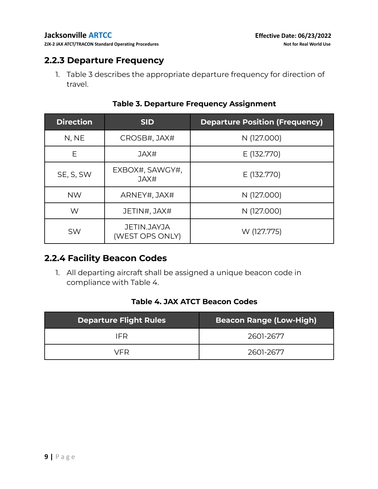#### <span id="page-8-0"></span>**2.2.3 Departure Frequency**

1. Table 3 describes the appropriate departure frequency for direction of travel.

| <b>Direction</b> | <b>SID</b>                            | <b>Departure Position (Frequency)</b> |
|------------------|---------------------------------------|---------------------------------------|
| N, NE            | CROSB#, JAX#                          | N (127.000)                           |
| Ε                | JAX#                                  | E (132.770)                           |
| SE, S, SW        | EXBOX#, SAWGY#,<br>JAX#               | E (132.770)                           |
| <b>NW</b>        | ARNEY#, JAX#                          | N (127.000)                           |
| W                | JETIN#, JAX#                          | N (127.000)                           |
| <b>SW</b>        | <b>JETIN.JAYJA</b><br>(WEST OPS ONLY) | W (127.775)                           |

#### **Table 3. Departure Frequency Assignment**

### <span id="page-8-1"></span>**2.2.4 Facility Beacon Codes**

1. All departing aircraft shall be assigned a unique beacon code in compliance with Table 4.

#### **Table 4. JAX ATCT Beacon Codes**

<span id="page-8-2"></span>

| <b>Departure Flight Rules</b> | <b>Beacon Range (Low-High)</b> |  |  |
|-------------------------------|--------------------------------|--|--|
| IFR                           | 2601-2677                      |  |  |
| VFR                           | 2601-2677                      |  |  |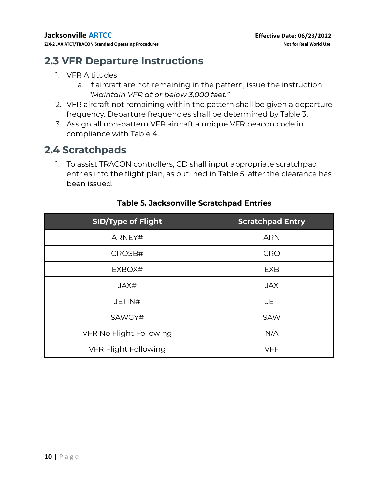### **2.3 VFR Departure Instructions**

- 1. VFR Altitudes
	- a. If aircraft are not remaining in the pattern, issue the instruction *"Maintain VFR at or below 3,000 feet."*
- 2. VFR aircraft not remaining within the pattern shall be given a departure frequency. Departure frequencies shall be determined by Table 3.
- 3. Assign all non-pattern VFR aircraft a unique VFR beacon code in compliance with Table 4.

### <span id="page-9-0"></span>**2.4 Scratchpads**

1. To assist TRACON controllers, CD shall input appropriate scratchpad entries into the flight plan, as outlined in Table 5, after the clearance has been issued.

| <b>SID/Type of Flight</b>   | <b>Scratchpad Entry</b> |
|-----------------------------|-------------------------|
| ARNEY#                      | <b>ARN</b>              |
| CROSB#                      | <b>CRO</b>              |
| EXBOX#                      | <b>EXB</b>              |
| JAX#                        | <b>JAX</b>              |
| JETIN#                      | <b>JET</b>              |
| SAWGY#                      | <b>SAW</b>              |
| VFR No Flight Following     | N/A                     |
| <b>VFR Flight Following</b> | <b>VFF</b>              |

#### **Table 5. Jacksonville Scratchpad Entries**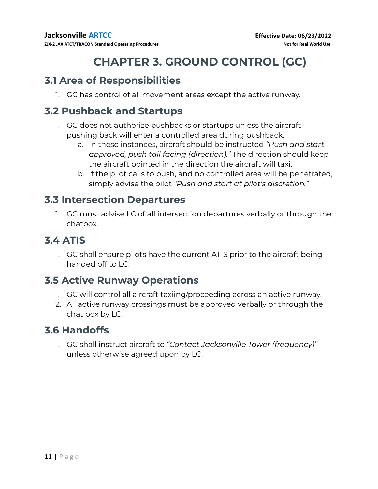### **CHAPTER 3. GROUND CONTROL (GC)**

### <span id="page-10-1"></span><span id="page-10-0"></span>**3.1 Area of Responsibilities**

1. GC has control of all movement areas except the active runway.

### <span id="page-10-2"></span>**3.2 Pushback and Startups**

- 1. GC does not authorize pushbacks or startups unless the aircraft pushing back will enter a controlled area during pushback.
	- a. In these instances, aircraft should be instructed *"Push and start approved, push tail facing (direction)."* The direction should keep the aircraft pointed in the direction the aircraft will taxi.
	- b. If the pilot calls to push, and no controlled area will be penetrated, simply advise the pilot *"Push and start at pilot's discretion."*

### <span id="page-10-3"></span>**3.3 Intersection Departures**

1. GC must advise LC of all intersection departures verbally or through the chatbox.

### <span id="page-10-4"></span>**3.4 ATIS**

1. GC shall ensure pilots have the current ATIS prior to the aircraft being handed off to LC.

### <span id="page-10-5"></span>**3.5 Active Runway Operations**

- 1. GC will control all aircraft taxiing/proceeding across an active runway.
- 2. All active runway crossings must be approved verbally or through the chat box by LC.

### <span id="page-10-6"></span>**3.6 Handoffs**

1. GC shall instruct aircraft to *"Contact Jacksonville Tower (frequency)"* unless otherwise agreed upon by LC.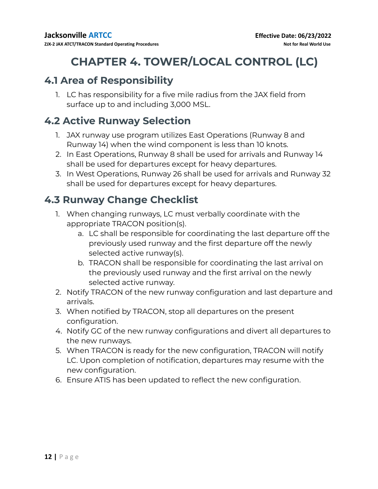### **CHAPTER 4. TOWER/LOCAL CONTROL (LC)**

### <span id="page-11-1"></span><span id="page-11-0"></span>**4.1 Area of Responsibility**

1. LC has responsibility for a five mile radius from the JAX field from surface up to and including 3,000 MSL.

### <span id="page-11-2"></span>**4.2 Active Runway Selection**

- 1. JAX runway use program utilizes East Operations (Runway 8 and Runway 14) when the wind component is less than 10 knots.
- 2. In East Operations, Runway 8 shall be used for arrivals and Runway 14 shall be used for departures except for heavy departures.
- 3. In West Operations, Runway 26 shall be used for arrivals and Runway 32 shall be used for departures except for heavy departures.

### <span id="page-11-3"></span>**4.3 Runway Change Checklist**

- 1. When changing runways, LC must verbally coordinate with the appropriate TRACON position(s).
	- a. LC shall be responsible for coordinating the last departure off the previously used runway and the first departure off the newly selected active runway(s).
	- b. TRACON shall be responsible for coordinating the last arrival on the previously used runway and the first arrival on the newly selected active runway.
- 2. Notify TRACON of the new runway configuration and last departure and arrivals.
- 3. When notified by TRACON, stop all departures on the present configuration.
- 4. Notify GC of the new runway configurations and divert all departures to the new runways.
- 5. When TRACON is ready for the new configuration, TRACON will notify LC. Upon completion of notification, departures may resume with the new configuration.
- 6. Ensure ATIS has been updated to reflect the new configuration.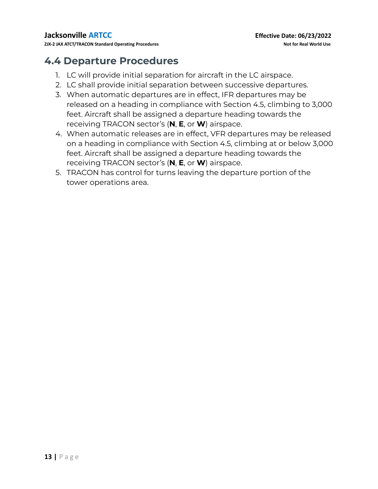### <span id="page-12-0"></span>**4.4 Departure Procedures**

- 1. LC will provide initial separation for aircraft in the LC airspace.
- 2. LC shall provide initial separation between successive departures.
- 3. When automatic departures are in effect, IFR departures may be released on a heading in compliance with Section 4.5, climbing to 3,000 feet. Aircraft shall be assigned a departure heading towards the receiving TRACON sector's (**N**, **E**, or **W**) airspace.
- 4. When automatic releases are in effect, VFR departures may be released on a heading in compliance with Section 4.5, climbing at or below 3,000 feet. Aircraft shall be assigned a departure heading towards the receiving TRACON sector's (**N**, **E**, or **W**) airspace.
- 5. TRACON has control for turns leaving the departure portion of the tower operations area.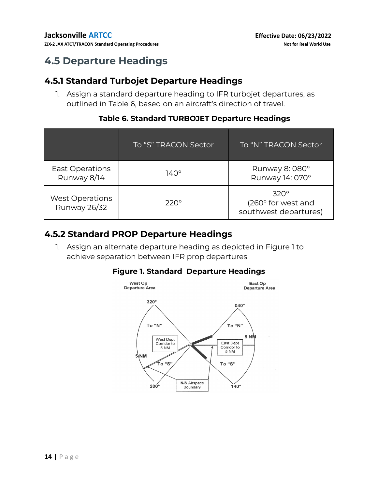**ZJX-2 JAX ATCT/TRACON Standard Operating Procedures Not for Real World Use**

### <span id="page-13-0"></span>**4.5 Departure Headings**

#### <span id="page-13-1"></span>**4.5.1 Standard Turbojet Departure Headings**

1. Assign a standard departure heading to IFR turbojet departures, as outlined in Table 6, based on an aircraft's direction of travel.

|                                               | To "S" TRACON Sector | To "N" TRACON Sector                                               |
|-----------------------------------------------|----------------------|--------------------------------------------------------------------|
| East Operations<br>Runway 8/14                | $140^\circ$          | Runway 8:080°<br>Runway 14: 070°                                   |
| <b>West Operations</b><br><b>Runway 26/32</b> | $220^\circ$          | $320^\circ$<br>$(260^\circ)$ for west and<br>southwest departures) |

#### **Table 6. Standard TURBOJET Departure Headings**

#### <span id="page-13-2"></span>**4.5.2 Standard PROP Departure Headings**

1. Assign an alternate departure heading as depicted in Figure 1 to achieve separation between IFR prop departures

#### **Figure 1. Standard Departure Headings**

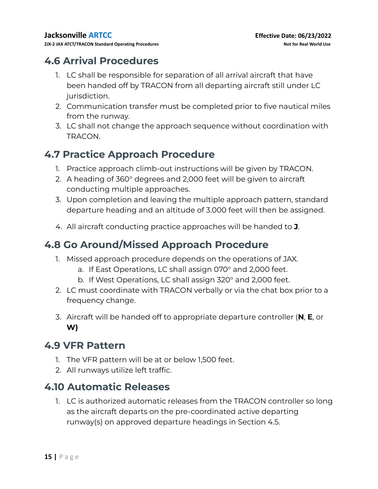### <span id="page-14-0"></span>**4.6 Arrival Procedures**

- 1. LC shall be responsible for separation of all arrival aircraft that have been handed off by TRACON from all departing aircraft still under LC jurisdiction.
- 2. Communication transfer must be completed prior to five nautical miles from the runway.
- 3. LC shall not change the approach sequence without coordination with TRACON.

### <span id="page-14-1"></span>**4.7 Practice Approach Procedure**

- 1. Practice approach climb-out instructions will be given by TRACON.
- 2. A heading of 360° degrees and 2,000 feet will be given to aircraft conducting multiple approaches.
- 3. Upon completion and leaving the multiple approach pattern, standard departure heading and an altitude of 3.000 feet will then be assigned.
- 4. All aircraft conducting practice approaches will be handed to **J**.

### <span id="page-14-2"></span>**4.8 Go Around/Missed Approach Procedure**

- 1. Missed approach procedure depends on the operations of JAX.
	- a. If East Operations, LC shall assign 070° and 2,000 feet.
	- b. If West Operations, LC shall assign 320° and 2,000 feet.
- 2. LC must coordinate with TRACON verbally or via the chat box prior to a frequency change.
- 3. Aircraft will be handed off to appropriate departure controller (**N**, **E**, or **W)**

### <span id="page-14-3"></span>**4.9 VFR Pattern**

- 1. The VFR pattern will be at or below 1,500 feet.
- 2. All runways utilize left traffic.

### <span id="page-14-4"></span>**4.10 Automatic Releases**

1. LC is authorized automatic releases from the TRACON controller so long as the aircraft departs on the pre-coordinated active departing runway(s) on approved departure headings in Section 4.5.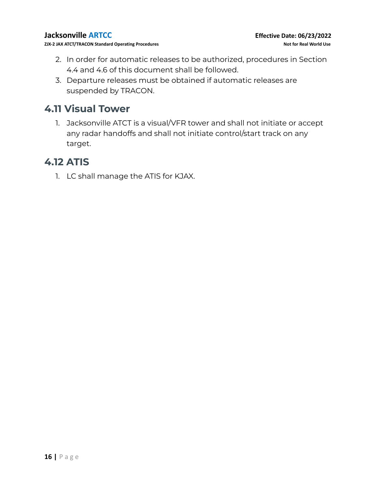**ZJX-2 JAX ATCT/TRACON Standard Operating Procedures Not for Real World Use**

- 2. In order for automatic releases to be authorized, procedures in Section 4.4 and 4.6 of this document shall be followed.
- 3. Departure releases must be obtained if automatic releases are suspended by TRACON.

### <span id="page-15-0"></span>**4.11 Visual Tower**

1. Jacksonville ATCT is a visual/VFR tower and shall not initiate or accept any radar handoffs and shall not initiate control/start track on any target.

### <span id="page-15-1"></span>**4.12 ATIS**

1. LC shall manage the ATIS for KJAX.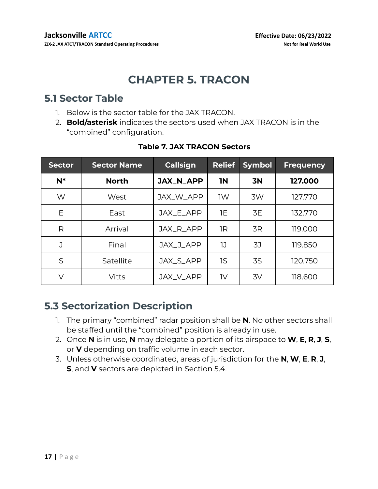### **CHAPTER 5. TRACON**

### <span id="page-16-1"></span><span id="page-16-0"></span>**5.1 Sector Table**

- 1. Below is the sector table for the JAX TRACON.
- 2. **Bold/asterisk** indicates the sectors used when JAX TRACON is in the "combined" configuration.

| <b>Sector</b> | <b>Sector Name</b> | <b>Callsign</b>  | <b>Relief</b> | <b>Symbol</b> | <b>Frequency</b> |
|---------------|--------------------|------------------|---------------|---------------|------------------|
| $N^*$         | <b>North</b>       | <b>JAX_N_APP</b> | <b>IN</b>     | 3N            | 127.000          |
| W             | West               | JAX_W_APP        | <b>IW</b>     | 3W            | 127.770          |
| E             | East               | JAX_E_APP        | 1E            | 3E            | 132.770          |
| R             | Arrival            | JAX_R_APP        | 1R            | 3R            | 119.000          |
| J             | Final              | JAX_J_APP        | כו            | 3J            | 119.850          |
| S             | Satellite          | JAX_S_APP        | 1S            | 3S            | 120.750          |
| V             | <b>Vitts</b>       | JAX V APP        | 1V            | 3V            | 118.600          |

#### **Table 7. JAX TRACON Sectors**

### <span id="page-16-2"></span>**5.3 Sectorization Description**

- 1. The primary "combined" radar position shall be **N**. No other sectors shall be staffed until the "combined" position is already in use.
- 2. Once **N** is in use, **N** may delegate a portion of its airspace to **W**, **E**, **R**, **J**, **S**, or **V** depending on traffic volume in each sector.
- <span id="page-16-3"></span>3. Unless otherwise coordinated, areas of jurisdiction for the **N**, **W**, **E**, **R**, **J**, **S**, and **V** sectors are depicted in Section 5.4.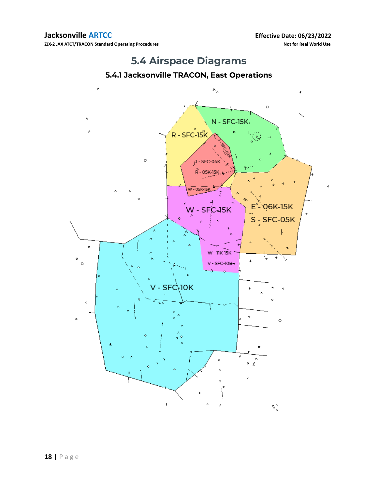**ZJX-2 JAX ATCT/TRACON Standard Operating Procedures Not for Real World Use**

### **5.4 Airspace Diagrams**

#### **5.4.1 Jacksonville TRACON, East Operations**

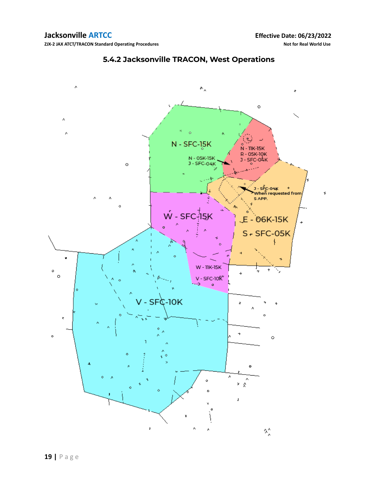

#### **5.4.2 Jacksonville TRACON, West Operations**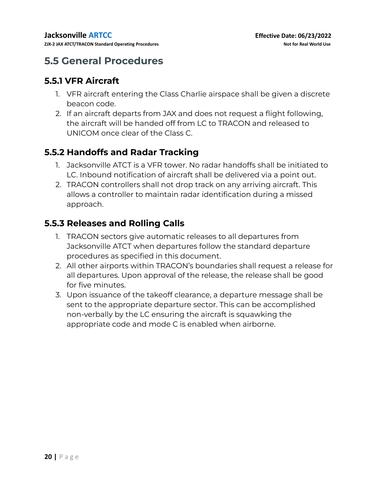### <span id="page-19-0"></span>**5.5 General Procedures**

#### <span id="page-19-1"></span>**5.5.1 VFR Aircraft**

- 1. VFR aircraft entering the Class Charlie airspace shall be given a discrete beacon code.
- 2. If an aircraft departs from JAX and does not request a flight following, the aircraft will be handed off from LC to TRACON and released to UNICOM once clear of the Class C.

### <span id="page-19-2"></span>**5.5.2 Handoffs and Radar Tracking**

- 1. Jacksonville ATCT is a VFR tower. No radar handoffs shall be initiated to LC. Inbound notification of aircraft shall be delivered via a point out.
- 2. TRACON controllers shall not drop track on any arriving aircraft. This allows a controller to maintain radar identification during a missed approach.

#### <span id="page-19-3"></span>**5.5.3 Releases and Rolling Calls**

- 1. TRACON sectors give automatic releases to all departures from Jacksonville ATCT when departures follow the standard departure procedures as specified in this document.
- 2. All other airports within TRACON's boundaries shall request a release for all departures. Upon approval of the release, the release shall be good for five minutes.
- 3. Upon issuance of the takeoff clearance, a departure message shall be sent to the appropriate departure sector. This can be accomplished non-verbally by the LC ensuring the aircraft is squawking the appropriate code and mode C is enabled when airborne.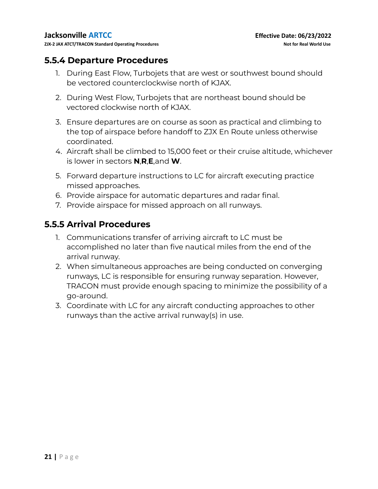#### <span id="page-20-0"></span>**5.5.4 Departure Procedures**

- 1. During East Flow, Turbojets that are west or southwest bound should be vectored counterclockwise north of KJAX.
- 2. During West Flow, Turbojets that are northeast bound should be vectored clockwise north of KJAX.
- 3. Ensure departures are on course as soon as practical and climbing to the top of airspace before handoff to ZJX En Route unless otherwise coordinated.
- 4. Aircraft shall be climbed to 15,000 feet or their cruise altitude, whichever is lower in sectors **N**,**R**,**E**,and **W**.
- 5. Forward departure instructions to LC for aircraft executing practice missed approaches.
- 6. Provide airspace for automatic departures and radar final.
- 7. Provide airspace for missed approach on all runways.

#### <span id="page-20-1"></span>**5.5.5 Arrival Procedures**

- 1. Communications transfer of arriving aircraft to LC must be accomplished no later than five nautical miles from the end of the arrival runway.
- 2. When simultaneous approaches are being conducted on converging runways, LC is responsible for ensuring runway separation. However, TRACON must provide enough spacing to minimize the possibility of a go-around.
- 3. Coordinate with LC for any aircraft conducting approaches to other runways than the active arrival runway(s) in use.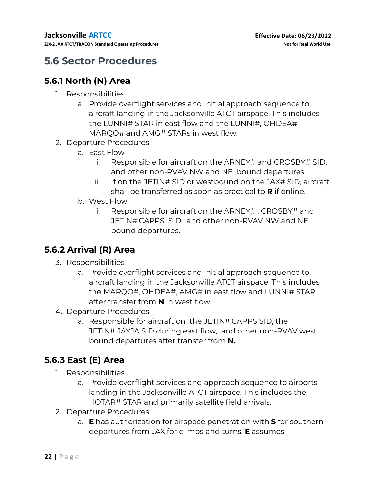#### <span id="page-21-0"></span>**5.6 Sector Procedures**

### <span id="page-21-1"></span>**5.6.1 North (N) Area**

- 1. Responsibilities
	- a. Provide overflight services and initial approach sequence to aircraft landing in the Jacksonville ATCT airspace. This includes the LUNNI# STAR in east flow and the LUNNI#, OHDEA#, MARQO# and AMG# STARs in west flow.
- 2. Departure Procedures
	- a. East Flow
		- i. Responsible for aircraft on the ARNEY# and CROSBY# SID, and other non-RVAV NW and NE bound departures.
		- ii. If on the JETIN# SID or westbound on the JAX# SID, aircraft shall be transferred as soon as practical to **R** if online.
	- b. West Flow
		- i. Responsible for aircraft on the ARNEY# , CROSBY# and JETIN#.CAPPS SID, and other non-RVAV NW and NE bound departures.

#### <span id="page-21-2"></span>**5.6.2 Arrival (R) Area**

- 3. Responsibilities
	- a. Provide overflight services and initial approach sequence to aircraft landing in the Jacksonville ATCT airspace. This includes the MARQO#, OHDEA#, AMG# in east flow and LUNNI# STAR after transfer from **N** in west flow.
- 4. Departure Procedures
	- a. Responsible for aircraft on the JETIN#.CAPPS SID, the JETIN#.JAYJA SID during east flow, and other non-RVAV west bound departures after transfer from **N.**

### <span id="page-21-3"></span>**5.6.3 East (E) Area**

- 1. Responsibilities
	- a. Provide overflight services and approach sequence to airports landing in the Jacksonville ATCT airspace. This includes the HOTAR# STAR and primarily satellite field arrivals.
- 2. Departure Procedures
	- a. **E** has authorization for airspace penetration with **S** for southern departures from JAX for climbs and turns. **E** assumes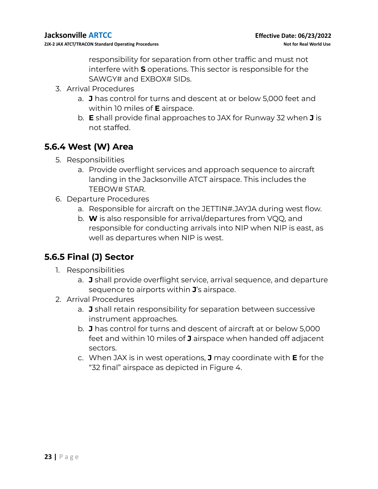responsibility for separation from other traffic and must not interfere with **S** operations. This sector is responsible for the SAWGY# and EXBOX# SIDs.

- 3. Arrival Procedures
	- a. **J** has control for turns and descent at or below 5,000 feet and within 10 miles of **E** airspace.
	- b. **E** shall provide final approaches to JAX for Runway 32 when **J** is not staffed.

### <span id="page-22-0"></span>**5.6.4 West (W) Area**

- 5. Responsibilities
	- a. Provide overflight services and approach sequence to aircraft landing in the Jacksonville ATCT airspace. This includes the TEBOW# STAR.
- 6. Departure Procedures
	- a. Responsible for aircraft on the JETTIN#.JAYJA during west flow.
	- b. **W** is also responsible for arrival/departures from VQQ, and responsible for conducting arrivals into NIP when NIP is east, as well as departures when NIP is west.

### <span id="page-22-1"></span>**5.6.5 Final (J) Sector**

- 1. Responsibilities
	- a. **J** shall provide overflight service, arrival sequence, and departure sequence to airports within **J**'s airspace.
- 2. Arrival Procedures
	- a. **J** shall retain responsibility for separation between successive instrument approaches.
	- b. **J** has control for turns and descent of aircraft at or below 5,000 feet and within 10 miles of **J** airspace when handed off adjacent sectors.
	- c. When JAX is in west operations, **J** may coordinate with **E** for the "32 final" airspace as depicted in Figure 4.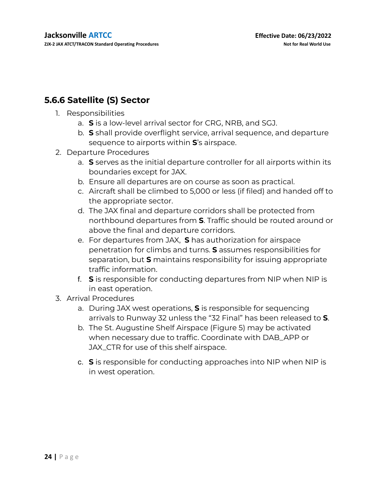### <span id="page-23-0"></span>**5.6.6 Satellite (S) Sector**

- 1. Responsibilities
	- a. **S** is a low-level arrival sector for CRG, NRB, and SGJ.
	- b. **S** shall provide overflight service, arrival sequence, and departure sequence to airports within **S**'s airspace.
- 2. Departure Procedures
	- a. **S** serves as the initial departure controller for all airports within its boundaries except for JAX.
	- b. Ensure all departures are on course as soon as practical.
	- c. Aircraft shall be climbed to 5,000 or less (if filed) and handed off to the appropriate sector.
	- d. The JAX final and departure corridors shall be protected from northbound departures from **S**. Traffic should be routed around or above the final and departure corridors.
	- e. For departures from JAX, **S** has authorization for airspace penetration for climbs and turns. **S** assumes responsibilities for separation, but **S** maintains responsibility for issuing appropriate traffic information.
	- f. **S** is responsible for conducting departures from NIP when NIP is in east operation.
- 3. Arrival Procedures
	- a. During JAX west operations, **S** is responsible for sequencing arrivals to Runway 32 unless the "32 Final" has been released to **S**.
	- b. The St. Augustine Shelf Airspace (Figure 5) may be activated when necessary due to traffic. Coordinate with DAB\_APP or JAX\_CTR for use of this shelf airspace.
	- c. **S** is responsible for conducting approaches into NIP when NIP is in west operation.